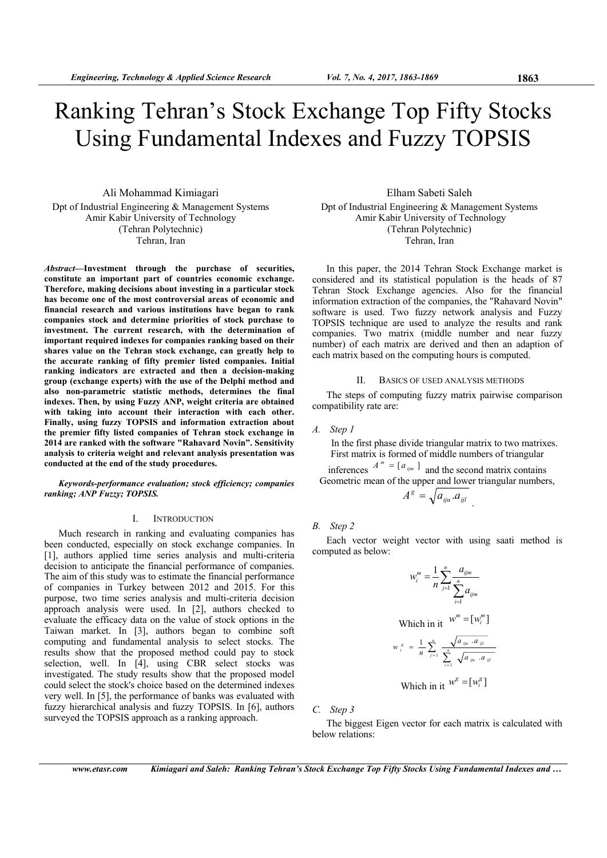# Ranking Tehran's Stock Exchange Top Fifty Stocks Using Fundamental Indexes and Fuzzy TOPSIS

Ali Mohammad Kimiagari Dpt of Industrial Engineering & Management Systems Amir Kabir University of Technology (Tehran Polytechnic) Tehran, Iran

*Abstract***—Investment through the purchase of securities, constitute an important part of countries economic exchange. Therefore, making decisions about investing in a particular stock has become one of the most controversial areas of economic and financial research and various institutions have began to rank companies stock and determine priorities of stock purchase to investment. The current research, with the determination of important required indexes for companies ranking based on their shares value on the Tehran stock exchange, can greatly help to the accurate ranking of fifty premier listed companies. Initial ranking indicators are extracted and then a decision-making group (exchange experts) with the use of the Delphi method and also non-parametric statistic methods, determines the final indexes. Then, by using Fuzzy ANP, weight criteria are obtained with taking into account their interaction with each other. Finally, using fuzzy TOPSIS and information extraction about the premier fifty listed companies of Tehran stock exchange in 2014 are ranked with the software "Rahavard Novin". Sensitivity analysis to criteria weight and relevant analysis presentation was conducted at the end of the study procedures.** 

*Keywords-performance evaluation; stock efficiency; companies ranking; ANP Fuzzy; TOPSIS.* 

# I. INTRODUCTION

Much research in ranking and evaluating companies has been conducted, especially on stock exchange companies. In [1], authors applied time series analysis and multi-criteria decision to anticipate the financial performance of companies. The aim of this study was to estimate the financial performance of companies in Turkey between 2012 and 2015. For this purpose, two time series analysis and multi-criteria decision approach analysis were used. In [2], authors checked to evaluate the efficacy data on the value of stock options in the Taiwan market. In [3], authors began to combine soft computing and fundamental analysis to select stocks. The results show that the proposed method could pay to stock selection, well. In  $\begin{bmatrix} 4 \end{bmatrix}$ , using CBR select stocks was investigated. The study results show that the proposed model could select the stock's choice based on the determined indexes very well. In [5], the performance of banks was evaluated with fuzzy hierarchical analysis and fuzzy TOPSIS. In [6], authors surveyed the TOPSIS approach as a ranking approach.

Elham Sabeti Saleh Dpt of Industrial Engineering & Management Systems Amir Kabir University of Technology (Tehran Polytechnic) Tehran, Iran

In this paper, the 2014 Tehran Stock Exchange market is considered and its statistical population is the heads of 87 Tehran Stock Exchange agencies. Also for the financial information extraction of the companies, the "Rahavard Novin" software is used. Two fuzzy network analysis and Fuzzy TOPSIS technique are used to analyze the results and rank companies. Two matrix (middle number and near fuzzy number) of each matrix are derived and then an adaption of each matrix based on the computing hours is computed.

## II. BASICS OF USED ANALYSIS METHODS

The steps of computing fuzzy matrix pairwise comparison compatibility rate are:

*A. Step 1* 

In the first phase divide triangular matrix to two matrixes. First matrix is formed of middle numbers of triangular

inferences  $A^m = [a_{ijm}]$  and the second matrix contains Geometric mean of the upper and lower triangular numbers,  $A^g = \sqrt{a_{iju} a_{ijl}}$ .

*B. Step 2* 

Each vector weight vector with using saati method is computed as below:

$$
w_i^m = \frac{1}{n} \sum_{j=1}^n \frac{a_{ijm}}{\sum_{i=1}^n a_{ijm}}
$$
  
Which in it 
$$
w^m = [w_i^m]
$$

$$
w_i^s = \frac{1}{n} \sum_{j=1}^n \frac{\sqrt{a_{iju} \cdot a_{ijl}}}{\sum_{i=1}^n \sqrt{a_{iju} \cdot a_{ijl}}}
$$
  
Which in it 
$$
w^s = [w_i^s]
$$

*C. Step 3* 

The biggest Eigen vector for each matrix is calculated with below relations: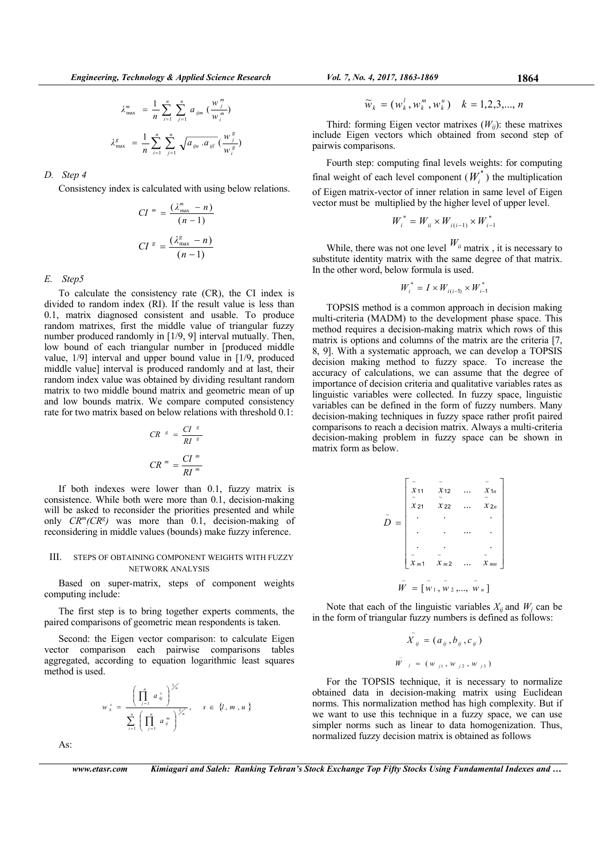$$
\lambda_{\max}^m = \frac{1}{n} \sum_{i=1}^n \sum_{j=1}^n a_{ijm} \left(\frac{w_j^m}{w_i^m}\right)
$$

$$
\lambda_{\max}^g = \frac{1}{n} \sum_{i=1}^n \sum_{j=1}^n \sqrt{a_{iju} \cdot a_{ijl}} \left(\frac{w_j^g}{w_j^g}\right)
$$

## *D. Step 4*

Consistency index is calculated with using below relations.

$$
CI^{m} = \frac{(\lambda_{\text{max}}^{m} - n)}{(n - 1)}
$$

$$
CI^{g} = \frac{(\lambda_{\text{max}}^{g} - n)}{(n - 1)}
$$

## *E. Step5*

To calculate the consistency rate (CR), the CI index is divided to random index (RI). If the result value is less than 0.1, matrix diagnosed consistent and usable. To produce random matrixes, first the middle value of triangular fuzzy number produced randomly in [1/9, 9] interval mutually. Then, low bound of each triangular number in [produced middle value, 1/9] interval and upper bound value in [1/9, produced middle value] interval is produced randomly and at last, their random index value was obtained by dividing resultant random matrix to two middle bound matrix and geometric mean of up and low bounds matrix. We compare computed consistency rate for two matrix based on below relations with threshold 0.1:

$$
CR^{-s} = \frac{CI^{-s}}{RI^{-s}}
$$

$$
CR^{-m} = \frac{CI^{-m}}{RI^{-m}}
$$

If both indexes were lower than 0.1, fuzzy matrix is consistence. While both were more than 0.1, decision-making will be asked to reconsider the priorities presented and while only  $CR^{m}(CR^{g})$  was more than 0.1, decision-making of reconsidering in middle values (bounds) make fuzzy inference.

# III. STEPS OF OBTAINING COMPONENT WEIGHTS WITH FUZZY NETWORK ANALYSIS

Based on super-matrix, steps of component weights computing include:

The first step is to bring together experts comments, the paired comparisons of geometric mean respondents is taken.

Second: the Eigen vector comparison: to calculate Eigen vector comparison each pairwise comparisons tables aggregated, according to equation logarithmic least squares method is used.

$$
w_{k}^{s} = \frac{\left(\prod_{j=1}^{n} a_{kj}^{s}\right)^{\frac{1}{n}}}{\sum_{i=1}^{n} \left(\prod_{j=1}^{n} a_{ij}^{m}\right)^{\frac{1}{n}}}, \quad s \in \{l, m, u\}
$$

As:

Third: forming Eigen vector matrixes  $(W_{ij})$ : these matrixes include Eigen vectors which obtained from second step of pairwis comparisons.

Fourth step: computing final levels weights: for computing final weight of each level component  $(W_i^*)$  the multiplication of Eigen matrix-vector of inner relation in same level of Eigen vector must be multiplied by the higher level of upper level.

$$
W_i^* = W_{ii} \times W_{i(i-1)} \times W_{i-1}^*
$$

While, there was not one level  $W_{ii}$  matrix, it is necessary to substitute identity matrix with the same degree of that matrix. In the other word, below formula is used.

$$
W_i^* = I \times W_{i(i-1)} \times W_{i-1}^*
$$

TOPSIS method is a common approach in decision making multi-criteria (MADM) to the development phase space. This method requires a decision-making matrix which rows of this matrix is options and columns of the matrix are the criteria [7, 8, 9]. With a systematic approach, we can develop a TOPSIS decision making method to fuzzy space. To increase the accuracy of calculations, we can assume that the degree of importance of decision criteria and qualitative variables rates as linguistic variables were collected. In fuzzy space, linguistic variables can be defined in the form of fuzzy numbers. Many decision-making techniques in fuzzy space rather profit paired comparisons to reach a decision matrix. Always a multi-criteria decision-making problem in fuzzy space can be shown in matrix form as below.

|                       | X <sub>11</sub> | X <sub>12</sub> |  | $x_{1n}$ |  |  |  |
|-----------------------|-----------------|-----------------|--|----------|--|--|--|
|                       |                 |                 |  |          |  |  |  |
|                       | X <sub>21</sub> | $x_{22}$        |  | $x_{2n}$ |  |  |  |
| D<br>$=$              |                 |                 |  |          |  |  |  |
|                       |                 |                 |  |          |  |  |  |
|                       |                 |                 |  |          |  |  |  |
|                       |                 |                 |  |          |  |  |  |
|                       | $x_{m1}$        | $x_{m2}$        |  | $x_{mn}$ |  |  |  |
|                       |                 |                 |  |          |  |  |  |
| $= [w_1, w_2, , w_n]$ |                 |                 |  |          |  |  |  |

Note that each of the linguistic variables  $X_{ij}$  and  $W_j$  can be in the form of triangular fuzzy numbers is defined as follows:

$$
\tilde{X}_{ij} = (a_{ij}, b_{ij}, c_{ij})
$$
  

$$
\tilde{W}_{j} = (w_{j1}, w_{j2}, w_{j3})
$$

For the TOPSIS technique, it is necessary to normalize obtained data in decision-making matrix using Euclidean norms. This normalization method has high complexity. But if we want to use this technique in a fuzzy space, we can use simpler norms such as linear to data homogenization. Thus, normalized fuzzy decision matrix is obtained as follows

*www.etasr.com Kimiagari and Saleh: Ranking Tehran's Stock Exchange Top Fifty Stocks Using Fundamental Indexes and …*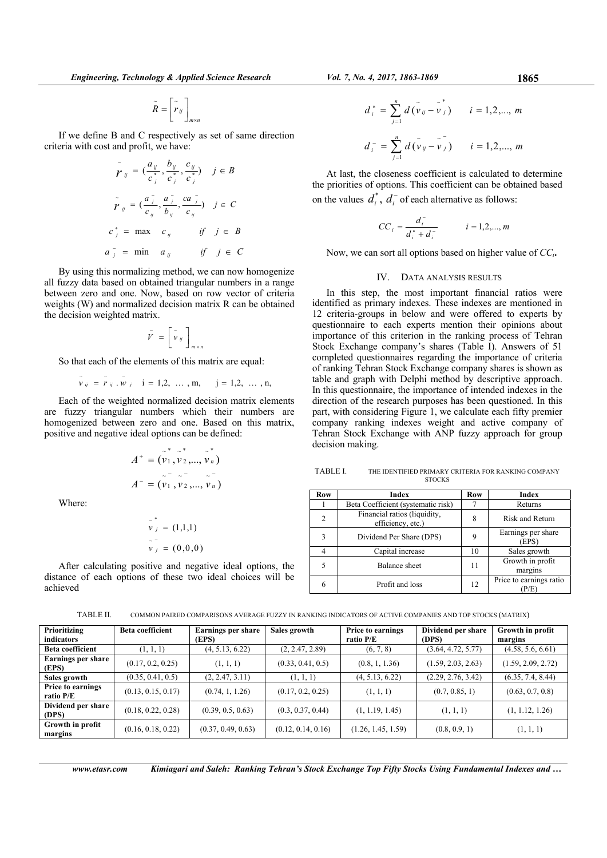$m \times n$  $\tilde{R} = \begin{bmatrix} \tilde{r}_{ij} \ \tilde{r}_{ij} \end{bmatrix}_{m \times}$  $\tilde{R} = \left\lceil \frac{\tilde{r}}{r} \right\rceil$ 

If we define B and C respectively as set of same direction criteria with cost and profit, we have:

$$
\tilde{r}_{ij} = \left(\frac{a_{ij}}{c_j^*}, \frac{b_{ij}}{c_j^*}, \frac{c_{ij}}{c_j^*}\right) \quad j \in B
$$
\n
$$
\tilde{r}_{ij} = \left(\frac{a_j^-}{c_{ij}}, \frac{a_j^-}{b_{ij}}, \frac{ca_j^-}{c_{ij}}\right) \quad j \in C
$$
\n
$$
c_j^* = \max \ c_{ij} \qquad \text{if} \quad j \in B
$$
\n
$$
a_j^- = \min \ a_{ij} \qquad \text{if} \quad j \in C
$$

By using this normalizing method, we can now homogenize all fuzzy data based on obtained triangular numbers in a range between zero and one. Now, based on row vector of criteria weights (W) and normalized decision matrix R can be obtained the decision weighted matrix.

$$
\tilde{V} = \left[ \tilde{v}_y \right]_{m \times n}
$$

So that each of the elements of this matrix are equal:

$$
\tilde{v}_{ij} = \tilde{r}_{ij} \cdot \tilde{w}_{j}
$$
, i = 1,2, ..., m, j = 1,2, ..., n,

Each of the weighted normalized decision matrix elements are fuzzy triangular numbers which their numbers are homogenized between zero and one. Based on this matrix, positive and negative ideal options can be defined:

$$
A^{+} = (\stackrel{\circ}{v}_{1}, \stackrel{\circ}{v}_{2}, \dots, \stackrel{\circ}{v}_{n})
$$
  

$$
A^{-} = (\stackrel{\circ}{v}_{1}, \stackrel{\circ}{v}_{2}, \dots, \stackrel{\circ}{v}_{n})
$$

Where:

$$
\tilde{v}_j^* = (1,1,1)
$$
  

$$
\tilde{v}_j = (0,0,0)
$$

After calculating positive and negative ideal options, the distance of each options of these two ideal choices will be achieved

$$
d_i^* = \sum_{j=1}^n d(\tilde{v}_{ij} - \tilde{v}_j^*) \qquad i = 1, 2, ..., m
$$
  

$$
d_i^- = \sum_{j=1}^n d(\tilde{v}_{ij} - \tilde{v}_j) \qquad i = 1, 2, ..., m
$$

At last, the closeness coefficient is calculated to determine the priorities of options. This coefficient can be obtained based on the values  $d_i^*$ ,  $d_i^-$  of each alternative as follows:

$$
CC_i = \frac{d_i^-}{d_i^* + d_i^-} \qquad i = 1, 2, ..., m
$$

Now, we can sort all options based on higher value of *CCi***.** 

# IV. DATA ANALYSIS RESULTS

In this step, the most important financial ratios were identified as primary indexes. These indexes are mentioned in 12 criteria-groups in below and were offered to experts by questionnaire to each experts mention their opinions about importance of this criterion in the ranking process of Tehran Stock Exchange company's shares (Table I). Answers of 51 completed questionnaires regarding the importance of criteria of ranking Tehran Stock Exchange company shares is shown as table and graph with Delphi method by descriptive approach. In this questionnaire, the importance of intended indexes in the direction of the research purposes has been questioned. In this part, with considering Figure 1, we calculate each fifty premier company ranking indexes weight and active company of Tehran Stock Exchange with ANP fuzzy approach for group decision making.

TABLE I. THE IDENTIFIED PRIMARY CRITERIA FOR RANKING COMPANY **STOCKS** 

| Row | Index                                             | Row | Index                       |
|-----|---------------------------------------------------|-----|-----------------------------|
|     | Beta Coefficient (systematic risk)                |     | Returns                     |
| 2   | Financial ratios (liquidity,<br>efficiency, etc.) | 8   | Risk and Return             |
| 3   | Dividend Per Share (DPS)                          | 9   | Earnings per share<br>(EPS) |
|     | Capital increase                                  | 10  | Sales growth                |
|     | <b>Balance</b> sheet                              | 11  | Growth in profit<br>margins |
| 6   | Profit and loss                                   | 12  | Price to earnings ratio     |

| Prioritizing<br>indicators            | <b>Beta coefficient</b> | <b>Earnings per share</b><br>(EPS) | Sales growth       | Price to earnings<br>ratio P/E | Dividend per share<br>(DPS) | Growth in profit<br>margins |
|---------------------------------------|-------------------------|------------------------------------|--------------------|--------------------------------|-----------------------------|-----------------------------|
| <b>Beta coefficient</b>               | (1, 1, 1)               | (4, 5.13, 6.22)                    | (2, 2.47, 2.89)    | (6, 7, 8)                      | (3.64, 4.72, 5.77)          | (4.58, 5.6, 6.61)           |
| <b>Earnings per share</b><br>(EPS)    | (0.17, 0.2, 0.25)       | (1, 1, 1)                          | (0.33, 0.41, 0.5)  | (0.8, 1, 1.36)                 | (1.59, 2.03, 2.63)          | (1.59, 2.09, 2.72)          |
| Sales growth                          | (0.35, 0.41, 0.5)       | (2, 2.47, 3.11)                    | (1, 1, 1)          | (4, 5.13, 6.22)                | (2.29, 2.76, 3.42)          | (6.35, 7.4, 8.44)           |
| <b>Price to earnings</b><br>ratio P/E | (0.13, 0.15, 0.17)      | (0.74, 1, 1.26)                    | (0.17, 0.2, 0.25)  | (1, 1, 1)                      | (0.7, 0.85, 1)              | (0.63, 0.7, 0.8)            |
| Dividend per share<br>(DPS)           | (0.18, 0.22, 0.28)      | (0.39, 0.5, 0.63)                  | (0.3, 0.37, 0.44)  | (1, 1.19, 1.45)                | (1, 1, 1)                   | (1, 1.12, 1.26)             |
| Growth in profit<br>margins           | (0.16, 0.18, 0.22)      | (0.37, 0.49, 0.63)                 | (0.12, 0.14, 0.16) | (1.26, 1.45, 1.59)             | (0.8, 0.9, 1)               | (1, 1, 1)                   |

TABLE II. COMMON PAIRED COMPARISONS AVERAGE FUZZY IN RANKING INDICATORS OF ACTIVE COMPANIES AND TOP STOCKS (MATRIX)

*www.etasr.com Kimiagari and Saleh: Ranking Tehran's Stock Exchange Top Fifty Stocks Using Fundamental Indexes and …*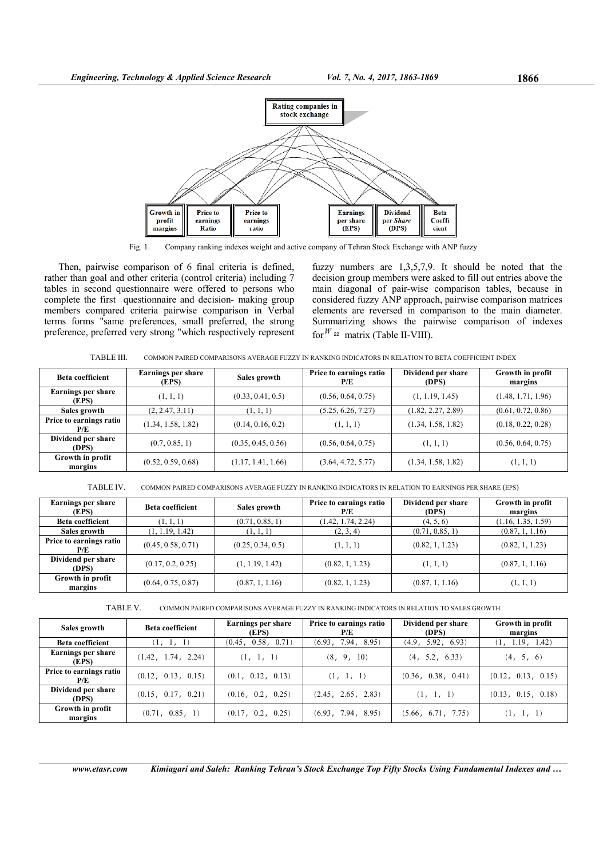

Fig. 1. Company ranking indexes weight and active company of Tehran Stock Exchange with ANP fuzzy

Then, pairwise comparison of 6 final criteria is defined, rather than goal and other criteria (control criteria) including 7 tables in second questionnaire were offered to persons who complete the first questionnaire and decision- making group members compared criteria pairwise comparison in Verbal terms forms "same preferences, small preferred, the strong preference, preferred very strong "which respectively represent fuzzy numbers are 1,3,5,7,9. It should be noted that the decision group members were asked to fill out entries above the main diagonal of pair-wise comparison tables, because in considered fuzzy ANP approach, pairwise comparison matrices elements are reversed in comparison to the main diameter. Summarizing shows the pairwise comparison of indexes for  $W$  <sup>22</sup> matrix (Table II-VIII).

TABLE III. COMMON PAIRED COMPARISONS AVERAGE FUZZY IN RANKING INDICATORS IN RELATION TO BETA COEFFICIENT INDEX

| Beta coefficient               | Earnings per share<br>(EPS) | Sales growth       | Price to earnings ratio<br>P/E | Dividend per share<br>(DPS) | Growth in profit<br>margins |
|--------------------------------|-----------------------------|--------------------|--------------------------------|-----------------------------|-----------------------------|
| Earnings per share<br>(EPS)    | (1, 1, 1)                   | (0.33, 0.41, 0.5)  | (0.56, 0.64, 0.75)             | (1, 1.19, 1.45)             | (1.48, 1.71, 1.96)          |
| Sales growth                   | (2, 2.47, 3.11)             | (1, 1, 1)          | (5.25, 6.26, 7.27)             | (1.82, 2.27, 2.89)          | (0.61, 0.72, 0.86)          |
| Price to earnings ratio<br>P/E | (1.34, 1.58, 1.82)          | (0.14, 0.16, 0.2)  | (1, 1, 1)                      | (1.34, 1.58, 1.82)          | (0.18, 0.22, 0.28)          |
| Dividend per share<br>(DPS)    | (0.7, 0.85, 1)              | (0.35, 0.45, 0.56) | (0.56, 0.64, 0.75)             | (1, 1, 1)                   | (0.56, 0.64, 0.75)          |
| Growth in profit<br>margins    | (0.52, 0.59, 0.68)          | (1.17, 1.41, 1.66) | (3.64, 4.72, 5.77)             | (1.34, 1.58, 1.82)          | (1, 1, 1)                   |

TABLE IV. COMMON PAIRED COMPARISONS AVERAGE FUZZY IN RANKING INDICATORS IN RELATION TO EARNINGS PER SHARE (EPS)

| <b>Earnings per share</b><br>(EPS) | Beta coefficient   | Sales growth      | Price to earnings ratio<br>P/E | Dividend per share<br>(DPS) | Growth in profit<br>margins |
|------------------------------------|--------------------|-------------------|--------------------------------|-----------------------------|-----------------------------|
| <b>Beta coefficient</b>            | (1, 1, 1)          | (0.71, 0.85, 1)   | (1.42, 1.74, 2.24)             | (4, 5, 6)                   | (1.16, 1.35, 1.59)          |
| Sales growth                       | (1, 1.19, 1.42)    | (1, 1, 1)         | (2, 3, 4)                      | (0.71, 0.85, 1)             | (0.87, 1, 1.16)             |
| Price to earnings ratio<br>P/E     | (0.45, 0.58, 0.71) | (0.25, 0.34, 0.5) | (1, 1, 1)                      | (0.82, 1, 1.23)             | (0.82, 1, 1.23)             |
| Dividend per share<br>(DPS)        | (0.17, 0.2, 0.25)  | (1, 1.19, 1.42)   | (0.82, 1, 1.23)                | (1, 1, 1)                   | (0.87, 1, 1.16)             |
| Growth in profit<br>margins        | (0.64, 0.75, 0.87) | (0.87, 1, 1.16)   | (0.82, 1, 1.23)                | (0.87, 1, 1.16)             | (1, 1, 1)                   |

TABLE V. COMMON PAIRED COMPARISONS AVERAGE FUZZY IN RANKING INDICATORS IN RELATION TO SALES GROWTH

| Sales growth                   | <b>Beta coefficient</b> | <b>Earnings per share</b><br>(EPS) | Price to earnings ratio<br>P/E | Dividend per share<br>(DPS) | Growth in profit<br>margins |
|--------------------------------|-------------------------|------------------------------------|--------------------------------|-----------------------------|-----------------------------|
| <b>Beta coefficient</b>        | (1, 1, 1)               | (0.45, 0.58, 0.71)                 | (6.93, 7.94, 8.95)             | (4.9, 5.92, 6.93)           | (1, 1.19, 1.42)             |
| Earnings per share<br>(EPS)    | (1.42, 1.74, 2.24)      | (1, 1, 1)                          | (8, 9, 10)                     | (4, 5.2, 6.33)              | (4, 5, 6)                   |
| Price to earnings ratio<br>P/E | (0.12, 0.13, 0.15)      | (0.1, 0.12, 0.13)                  | (1, 1, 1)                      | (0.36, 0.38, 0.41)          | (0.12, 0.13, 0.15)          |
| Dividend per share<br>(DPS)    | (0.15, 0.17, 0.21)      | (0.16, 0.2, 0.25)                  | (2.45, 2.65, 2.83)             | (1, 1, 1)                   | (0.13, 0.15, 0.18)          |
| Growth in profit<br>margins    | (0.71, 0.85, 1)         | (0.17, 0.2, 0.25)                  | (6.93, 7.94, 8.95)             | (5.66, 6.71, 7.75)          | (1, 1, 1)                   |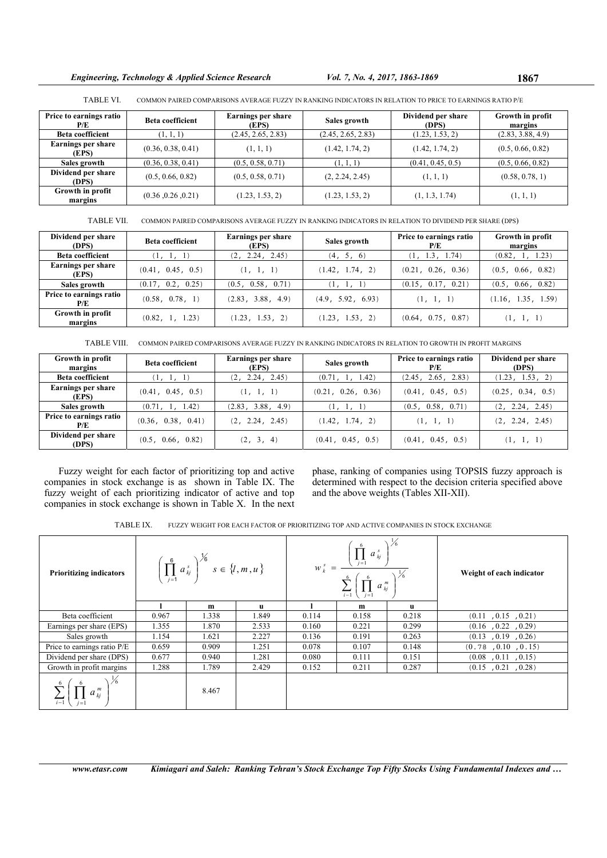*Engineering, Technology & Applied Science Research Vol. 7, No. 4, 2017, 1863-1869* **1867** 

| <b>TABLE VI.</b>               |                         | COMMON PAIRED COMPARISONS AVERAGE FUZZY IN RANKING INDICATORS IN RELATION TO PRICE TO EARNINGS RATIO P/E |              |                             |                             |  |  |  |
|--------------------------------|-------------------------|----------------------------------------------------------------------------------------------------------|--------------|-----------------------------|-----------------------------|--|--|--|
| Price to earnings ratio<br>P/E | <b>Beta coefficient</b> | Earnings per share<br>(EPS)                                                                              | Sales growth | Dividend per share<br>(DPS) | Growth in profit<br>margins |  |  |  |

| l'/l                        |                    | (EPS)              |                    | (DPS)             | margins           |
|-----------------------------|--------------------|--------------------|--------------------|-------------------|-------------------|
| <b>Beta coefficient</b>     | (1, 1, 1)          | (2.45, 2.65, 2.83) | (2.45, 2.65, 2.83) | (1.23, 1.53, 2)   | (2.83, 3.88, 4.9) |
| Earnings per share<br>(EPS) | (0.36, 0.38, 0.41) | (1, 1, 1)          | (1.42, 1.74, 2)    | (1.42, 1.74, 2)   | (0.5, 0.66, 0.82) |
| Sales growth                | (0.36, 0.38, 0.41) | (0.5, 0.58, 0.71)  | (1, 1, 1)          | (0.41, 0.45, 0.5) | (0.5, 0.66, 0.82) |
| Dividend per share<br>(DPS) | (0.5, 0.66, 0.82)  | (0.5, 0.58, 0.71)  | (2, 2.24, 2.45)    | (1, 1, 1)         | (0.58, 0.78, 1)   |
| Growth in profit<br>margins | (0.36, 0.26, 0.21) | (1.23, 1.53, 2)    | (1.23, 1.53, 2)    | (1, 1.3, 1.74)    | (1, 1, 1)         |

TABLE VII. COMMON PAIRED COMPARISONS AVERAGE FUZZY IN RANKING INDICATORS IN RELATION TO DIVIDEND PER SHARE (DPS)

| Dividend per share<br>(DPS)    | <b>Beta coefficient</b> | <b>Earnings per share</b><br>(EPS) | Sales growth      | Price to earnings ratio<br>P/E | Growth in profit<br>margins |
|--------------------------------|-------------------------|------------------------------------|-------------------|--------------------------------|-----------------------------|
| <b>Beta coefficient</b>        | (1, 1, 1)               | (2, 2.24, 2.45)                    | (4, 5, 6)         | (1, 1.3, 1.74)                 | (0.82, 1, 1.23)             |
| Earnings per share<br>(EPS)    | (0.41, 0.45, 0.5)       | (1, 1, 1)                          | (1.42, 1.74, 2)   | (0.21, 0.26, 0.36)             | (0.5, 0.66, 0.82)           |
| Sales growth                   | (0.17, 0.2, 0.25)       | (0.5, 0.58, 0.71)                  | (1, 1, 1)         | (0.15, 0.17, 0.21)             | (0.5, 0.66, 0.82)           |
| Price to earnings ratio<br>P/E | (0.58, 0.78, 1)         | (2.83, 3.88, 4.9)                  | (4.9, 5.92, 6.93) | (1, 1, 1)                      | (1.16, 1.35, 1.59)          |
| Growth in profit<br>margins    | (0.82, 1, 1.23)         | (1.23, 1.53, 2)                    | (1.23, 1.53, 2)   | (0.64, 0.75, 0.87)             | (1, 1, 1)                   |

TABLE VIII. COMMON PAIRED COMPARISONS AVERAGE FUZZY IN RANKING INDICATORS IN RELATION TO GROWTH IN PROFIT MARGINS

| Growth in profit<br>margins    | <b>Beta coefficient</b> | Earnings per share<br>(EPS) | Sales growth       | Price to earnings ratio<br>P/E | Dividend per share<br>(DPS) |
|--------------------------------|-------------------------|-----------------------------|--------------------|--------------------------------|-----------------------------|
| Beta coefficient               | (1, 1, 1)               | (2, 2.24, 2.45)             | (0.71, 1, 1.42)    | (2.45, 2.65, 2.83)             | (1.23, 1.53, 2)             |
| Earnings per share<br>(EPS)    | (0.41, 0.45, 0.5)       | (1, 1, 1)                   | (0.21, 0.26, 0.36) | (0.41, 0.45, 0.5)              | (0.25, 0.34, 0.5)           |
| Sales growth                   | (0.71, 1, 1.42)         | (2.83, 3.88, 4.9)           | (1, 1, 1)          | (0.5, 0.58, 0.71)              | (2, 2.24, 2.45)             |
| Price to earnings ratio<br>P/E | (0.36, 0.38, 0.41)      | (2, 2.24, 2.45)             | (1.42, 1.74, 2)    | (1, 1, 1)                      | (2, 2.24, 2.45)             |
| Dividend per share<br>(DPS)    | (0.5, 0.66, 0.82)       | (2, 3, 4)                   | (0.41, 0.45, 0.5)  | (0.41, 0.45, 0.5)              | (1, 1, 1)                   |

Fuzzy weight for each factor of prioritizing top and active companies in stock exchange is as shown in Table IX. The fuzzy weight of each prioritizing indicator of active and top companies in stock exchange is shown in Table X. In the next

phase, ranking of companies using TOPSIS fuzzy approach is determined with respect to the decision criteria specified above and the above weights (Tables XII-XII).

| TABLE IX.<br>- FUZZY WEIGHT FOR EACH FACTOR OF PRIORITIZING TOP AND ACTIVE COMPANIES IN STOCK EXCHANGE |  |
|--------------------------------------------------------------------------------------------------------|--|
|--------------------------------------------------------------------------------------------------------|--|

| <b>Prioritizing indicators</b> |       | $\left(\prod_{i=1}^{6} a_{kj}^{s}\right)^{\frac{1}{6}} s \in \{l,m,u\}$ |       | $W_k^s = \frac{\left(\prod_{j=1}^6 a_{kj}^s\right)}{\sum_{j=1}^6 \left(\prod_{j=1}^6 a_{jj}^s\right)^{\frac{1}{16}}}$<br>$i-1$ |       |       | Weight of each indicator |
|--------------------------------|-------|-------------------------------------------------------------------------|-------|--------------------------------------------------------------------------------------------------------------------------------|-------|-------|--------------------------|
|                                |       | m                                                                       | u     |                                                                                                                                | m     | u     |                          |
| Beta coefficient               | 0.967 | 1.338                                                                   | 1.849 | 0.114                                                                                                                          | 0.158 | 0.218 | (0.11, 0.15, 0.21)       |
| Earnings per share (EPS)       | 1.355 | 1.870                                                                   | 2.533 | 0.160                                                                                                                          | 0.221 | 0.299 | (0.16, 0.22, 0.29)       |
| Sales growth                   | 1.154 | 1.621                                                                   | 2.227 | 0.136                                                                                                                          | 0.191 | 0.263 | (0.13, 0.19, 0.26)       |
| Price to earnings ratio P/E    | 0.659 | 0.909                                                                   | 1.251 | 0.078                                                                                                                          | 0.107 | 0.148 | (0.78, 0.10, 0.15)       |
| Dividend per share (DPS)       | 0.677 | 0.940                                                                   | 1.281 | 0.080                                                                                                                          | 0.111 | 0.151 | (0.08, 0.11, 0.15)       |
| Growth in profit margins       | 1.288 | 1.789                                                                   | 2.429 | 0.152                                                                                                                          | 0.211 | 0.287 | (0.15, 0.21, 0.28)       |
|                                |       | 8.467                                                                   |       |                                                                                                                                |       |       |                          |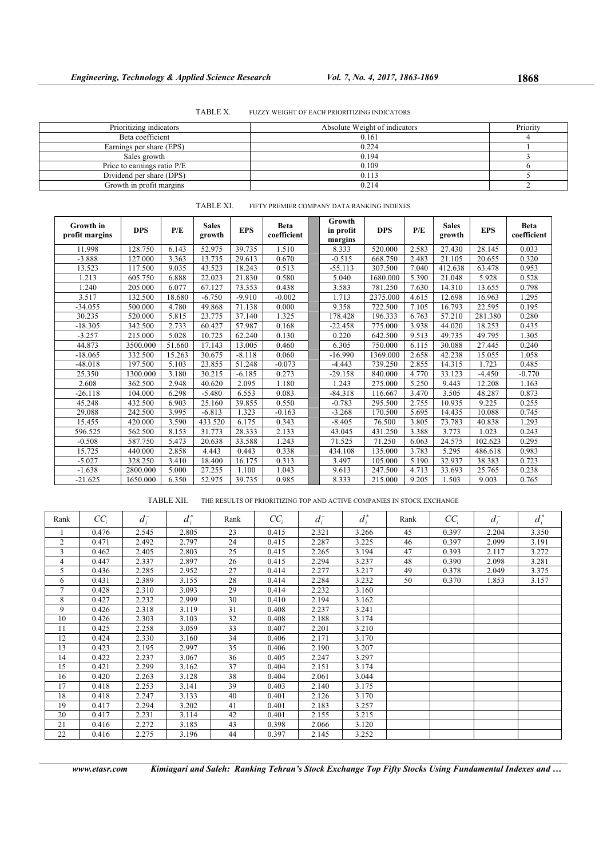| TABLE X. |  | FUZZY WEIGHT OF EACH PRIORITIZING INDICATORS |  |
|----------|--|----------------------------------------------|--|
|          |  |                                              |  |

| Prioritizing indicators     | Absolute Weight of indicators | Priority |
|-----------------------------|-------------------------------|----------|
| Beta coefficient            | 0.161                         |          |
| Earnings per share (EPS)    | 0.224                         |          |
| Sales growth                | 0.194                         |          |
| Price to earnings ratio P/E | 0.109                         |          |
| Dividend per share (DPS)    | 0.113                         |          |
| Growth in profit margins    | 0.214                         |          |

| <b>Growth</b> in<br>profit margins | <b>DPS</b> | P/E    | <b>Sales</b><br>growth | <b>EPS</b> | Beta<br>coefficient | Growth<br>in profit<br>margins | <b>DPS</b> | P/E   | <b>Sales</b><br>growth | <b>EPS</b> | Beta<br>coefficient |
|------------------------------------|------------|--------|------------------------|------------|---------------------|--------------------------------|------------|-------|------------------------|------------|---------------------|
| 11.998                             | 128.750    | 6.143  | 52.975                 | 39.735     | 1.510               | 8.333                          | 520.000    | 2.583 | 27.430                 | 28.145     | 0.033               |
| $-3.888$                           | 127.000    | 3.363  | 13.735                 | 29.613     | 0.670               | $-0.515$                       | 668.750    | 2.483 | 21.105                 | 20.655     | 0.320               |
| 13.523                             | 117.500    | 9.035  | 43.523                 | 18.243     | 0.513               | $-55.113$                      | 307.500    | 7.040 | 412.638                | 63.478     | 0.953               |
| 1.213                              | 605.750    | 6.888  | 22.023                 | 21.830     | 0.580               | 5.040                          | 1680.000   | 5.390 | 21.048                 | 5.928      | 0.528               |
| 1.240                              | 205.000    | 6.077  | 67.127                 | 73.353     | 0.438               | 3.583                          | 781.250    | 7.630 | 14.310                 | 13.655     | 0.798               |
| 3.517                              | 132.500    | 18.680 | $-6.750$               | $-9.910$   | $-0.002$            | 1.713                          | 2375.000   | 4.615 | 12.698                 | 16.963     | 1.295               |
| $-34.055$                          | 500.000    | 4.780  | 49.868                 | 71.138     | 0.000               | 9.358                          | 722.500    | 7.105 | 16.793                 | 22.595     | 0.195               |
| 30.235                             | 520.000    | 5.815  | 23.775                 | 37.140     | 1.325               | 178.428                        | 196.333    | 6.763 | 57.210                 | 281.380    | 0.280               |
| $-18.305$                          | 342.500    | 2.733  | 60.427                 | 57.987     | 0.168               | $-22.458$                      | 775.000    | 3.938 | 44.020                 | 18.253     | 0.435               |
| $-3.257$                           | 215.000    | 5.028  | 10.725                 | 62.240     | 0.130               | 0.220                          | 642.500    | 9.513 | 49.735                 | 49.795     | 1.305               |
| 44.873                             | 3500.000   | 51.660 | 17.143                 | 13.005     | 0.460               | 6.305                          | 750.000    | 6.115 | 30.088                 | 27.445     | 0.240               |
| $-18.065$                          | 332.500    | 15.263 | 30.675                 | $-8.118$   | 0.060               | $-16.990$                      | 1369.000   | 2.658 | 42.238                 | 15.055     | 1.058               |
| $-48.018$                          | 197.500    | 5.103  | 23.855                 | 51.248     | $-0.073$            | $-4.443$                       | 739.250    | 2.855 | 14.315                 | 1.723      | 0.485               |
| 25.350                             | 1300.000   | 3.180  | 30.215                 | $-6.185$   | 0.273               | $-29.158$                      | 840.000    | 4.770 | 33.123                 | $-4.450$   | $-0.770$            |
| 2.608                              | 362.500    | 2.948  | 40.620                 | 2.095      | 1.180               | 1.243                          | 275.000    | 5.250 | 9.443                  | 12.208     | 1.163               |
| $-26.118$                          | 104.000    | 6.298  | $-5.480$               | 6.553      | 0.083               | $-84.318$                      | 116.667    | 3.470 | 3.505                  | 48.287     | 0.873               |
| 45.248                             | 432.500    | 6.903  | 25.160                 | 39.855     | 0.550               | $-0.783$                       | 295.500    | 2.755 | 10.935                 | 9.225      | 0.255               |
| 29.088                             | 242.500    | 3.995  | $-6.813$               | 1.323      | $-0.163$            | $-3.268$                       | 170.500    | 5.695 | 14.435                 | 10.088     | 0.745               |
| 15.455                             | 420.000    | 3.590  | 433.520                | 6.175      | 0.343               | $-8.405$                       | 76.500     | 3.805 | 73.783                 | 40.838     | 1.293               |
| 596.525                            | 562.500    | 8.153  | 31.773                 | 28.333     | 2.133               | 43.045                         | 431.250    | 3.388 | 3.773                  | 1.023      | 0.243               |
| $-0.508$                           | 587.750    | 5.473  | 20.638                 | 33.588     | 1.243               | 71.525                         | 71.250     | 6.063 | 24.575                 | 102.623    | 0.295               |
| 15.725                             | 440.000    | 2.858  | 4.443                  | 0.443      | 0.338               | 434.108                        | 135.000    | 3.783 | 5.295                  | 486.618    | 0.983               |
| $-5.027$                           | 328.250    | 3.410  | 18.400                 | 16.175     | 0.313               | 3.497                          | 105.000    | 5.190 | 32.937                 | 38.383     | 0.723               |
| $-1.638$                           | 2800.000   | 5.000  | 27.255                 | 1.100      | 1.043               | 9.613                          | 247.500    | 4.713 | 33.693                 | 25.765     | 0.238               |
| $-21.625$                          | 1650.000   | 6.350  | 52.975                 | 39.735     | 0.985               | 8.333                          | 215.000    | 9.205 | 1.503                  | 9.003      | 0.765               |

# TABLE XI. FIFTY PREMIER COMPANY DATA RANKING INDEXES

TABLE XII. THE RESULTS OF PRIORITIZING TOP AND ACTIVE COMPANIES IN STOCK EXCHANGE

| Rank           | $CC_i$ | $d_i^-$ | $d_i^*$ | Rank | $CC_i$ | $d_i^-$ | $d_i^*$ | Rank | $CC_i$ | $d_i^-$ | $d_i^*$ |
|----------------|--------|---------|---------|------|--------|---------|---------|------|--------|---------|---------|
|                | 0.476  | 2.545   | 2.805   | 23   | 0.415  | 2.321   | 3.266   | 45   | 0.397  | 2.204   | 3.350   |
| $\overline{c}$ | 0.471  | 2.492   | 2.797   | 24   | 0.415  | 2.287   | 3.225   | 46   | 0.397  | 2.099   | 3.191   |
| 3              | 0.462  | 2.405   | 2.803   | 25   | 0.415  | 2.265   | 3.194   | 47   | 0.393  | 2.117   | 3.272   |
| 4              | 0.447  | 2.337   | 2.897   | 26   | 0.415  | 2.294   | 3.237   | 48   | 0.390  | 2.098   | 3.281   |
| 5              | 0.436  | 2.285   | 2.952   | 27   | 0.414  | 2.277   | 3.217   | 49   | 0.378  | 2.049   | 3.375   |
| 6              | 0.431  | 2.389   | 3.155   | 28   | 0.414  | 2.284   | 3.232   | 50   | 0.370  | 1.853   | 3.157   |
| 7              | 0.428  | 2.310   | 3.093   | 29   | 0.414  | 2.232   | 3.160   |      |        |         |         |
| 8              | 0.427  | 2.232   | 2.999   | 30   | 0.410  | 2.194   | 3.162   |      |        |         |         |
| 9              | 0.426  | 2.318   | 3.119   | 31   | 0.408  | 2.237   | 3.241   |      |        |         |         |
| 10             | 0.426  | 2.303   | 3.103   | 32   | 0.408  | 2.188   | 3.174   |      |        |         |         |
| 11             | 0.425  | 2.258   | 3.059   | 33   | 0.407  | 2.201   | 3.210   |      |        |         |         |
| 12             | 0.424  | 2.330   | 3.160   | 34   | 0.406  | 2.171   | 3.170   |      |        |         |         |
| 13             | 0.423  | 2.195   | 2.997   | 35   | 0.406  | 2.190   | 3.207   |      |        |         |         |
| 14             | 0.422  | 2.237   | 3.067   | 36   | 0.405  | 2.247   | 3.297   |      |        |         |         |
| 15             | 0.421  | 2.299   | 3.162   | 37   | 0.404  | 2.151   | 3.174   |      |        |         |         |
| 16             | 0.420  | 2.263   | 3.128   | 38   | 0.404  | 2.061   | 3.044   |      |        |         |         |
| 17             | 0.418  | 2.253   | 3.141   | 39   | 0.403  | 2.140   | 3.175   |      |        |         |         |
| 18             | 0.418  | 2.247   | 3.133   | 40   | 0.401  | 2.126   | 3.170   |      |        |         |         |
| 19             | 0.417  | 2.294   | 3.202   | 41   | 0.401  | 2.183   | 3.257   |      |        |         |         |
| 20             | 0.417  | 2.231   | 3.114   | 42   | 0.401  | 2.155   | 3.215   |      |        |         |         |
| 21             | 0.416  | 2.272   | 3.185   | 43   | 0.398  | 2.066   | 3.120   |      |        |         |         |
| 22             | 0.416  | 2.275   | 3.196   | 44   | 0.397  | 2.145   | 3.252   |      |        |         |         |

*www.etasr.com Kimiagari and Saleh: Ranking Tehran's Stock Exchange Top Fifty Stocks Using Fundamental Indexes and …*